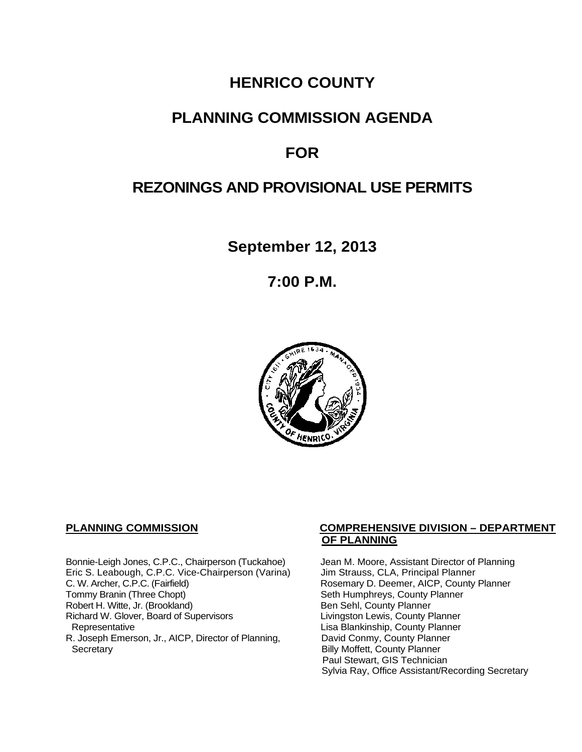# **HENRICO COUNTY**

## **PLANNING COMMISSION AGENDA**

# **FOR**

# **REZONINGS AND PROVISIONAL USE PERMITS**

**September 12, 2013**

**7:00 P.M.**



Bonnie-Leigh Jones, C.P.C., Chairperson (Tuckahoe) Jean M. Moore, Assistant Director of Planning<br>Eric S. Leabough, C.P.C. Vice-Chairperson (Varina) Jim Strauss, CLA, Principal Planner Eric S. Leabough, C.P.C. Vice-Chairperson (Varina)<br>C. W. Archer, C.P.C. (Fairfield) C. W. Archer, C.P.C. (Fairfield) Rosemary D. Deemer, AICP, County Planner<br>
Tommy Branin (Three Chopt) Seth Humphreys, County Planner Robert H. Witte, Jr. (Brookland)<br>
Richard W. Glover, Board of Supervisors<br>
Livingston Lewis, County Planner Richard W. Glover, Board of Supervisors<br>Representative R. Joseph Emerson, Jr., AICP, Director of Planning, Secretary

#### **PLANNING COMMISSION COMPREHENSIVE DIVISION – DEPARTMENT OF PLANNING**

Seth Humphreys, County Planner<br>Ben Sehl, County Planner Lisa Blankinship, County Planner<br>David Conmy, County Planner **Billy Moffett, County Planner** Paul Stewart, GIS Technician Sylvia Ray, Office Assistant/Recording Secretary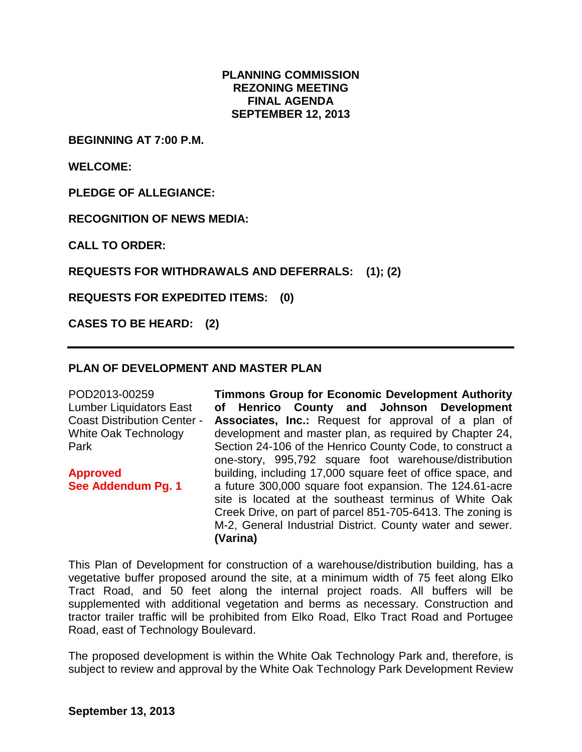#### **PLANNING COMMISSION REZONING MEETING FINAL AGENDA SEPTEMBER 12, 2013**

**BEGINNING AT 7:00 P.M.**

**WELCOME:**

**PLEDGE OF ALLEGIANCE:**

**RECOGNITION OF NEWS MEDIA:**

**CALL TO ORDER:**

**REQUESTS FOR WITHDRAWALS AND DEFERRALS: (1); (2)**

**REQUESTS FOR EXPEDITED ITEMS: (0)**

**CASES TO BE HEARD: (2)**

#### **PLAN OF DEVELOPMENT AND MASTER PLAN**

POD2013-00259 Lumber Liquidators East Coast Distribution Center - White Oak Technology Park **Approved See Addendum Pg. 1 Timmons Group for Economic Development Authority of Henrico County and Johnson Development Associates, Inc.:** Request for approval of a plan of development and master plan, as required by Chapter 24, Section 24-106 of the Henrico County Code, to construct a one-story, 995,792 square foot warehouse/distribution building, including 17,000 square feet of office space, and a future 300,000 square foot expansion. The 124.61-acre site is located at the southeast terminus of White Oak Creek Drive, on part of parcel 851-705-6413. The zoning is M-2, General Industrial District. County water and sewer. **(Varina)**

This Plan of Development for construction of a warehouse/distribution building, has a vegetative buffer proposed around the site, at a minimum width of 75 feet along Elko Tract Road, and 50 feet along the internal project roads. All buffers will be supplemented with additional vegetation and berms as necessary. Construction and tractor trailer traffic will be prohibited from Elko Road, Elko Tract Road and Portugee Road, east of Technology Boulevard.

The proposed development is within the White Oak Technology Park and, therefore, is subject to review and approval by the White Oak Technology Park Development Review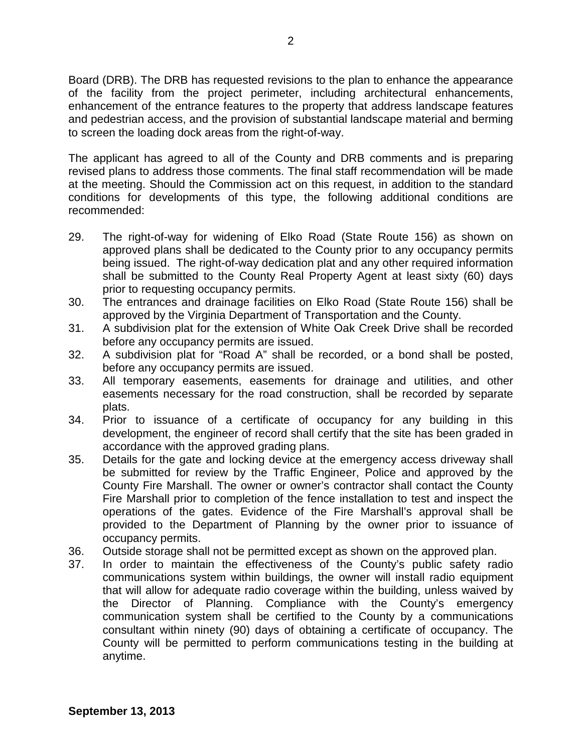Board (DRB). The DRB has requested revisions to the plan to enhance the appearance of the facility from the project perimeter, including architectural enhancements, enhancement of the entrance features to the property that address landscape features and pedestrian access, and the provision of substantial landscape material and berming to screen the loading dock areas from the right-of-way.

The applicant has agreed to all of the County and DRB comments and is preparing revised plans to address those comments. The final staff recommendation will be made at the meeting. Should the Commission act on this request, in addition to the standard conditions for developments of this type, the following additional conditions are recommended:

- 29. The right-of-way for widening of Elko Road (State Route 156) as shown on approved plans shall be dedicated to the County prior to any occupancy permits being issued. The right-of-way dedication plat and any other required information shall be submitted to the County Real Property Agent at least sixty (60) days prior to requesting occupancy permits.
- 30. The entrances and drainage facilities on Elko Road (State Route 156) shall be approved by the Virginia Department of Transportation and the County.
- 31. A subdivision plat for the extension of White Oak Creek Drive shall be recorded before any occupancy permits are issued.
- 32. A subdivision plat for "Road A" shall be recorded, or a bond shall be posted, before any occupancy permits are issued.
- 33. All temporary easements, easements for drainage and utilities, and other easements necessary for the road construction, shall be recorded by separate plats.
- 34. Prior to issuance of a certificate of occupancy for any building in this development, the engineer of record shall certify that the site has been graded in accordance with the approved grading plans.
- 35. Details for the gate and locking device at the emergency access driveway shall be submitted for review by the Traffic Engineer, Police and approved by the County Fire Marshall. The owner or owner's contractor shall contact the County Fire Marshall prior to completion of the fence installation to test and inspect the operations of the gates. Evidence of the Fire Marshall's approval shall be provided to the Department of Planning by the owner prior to issuance of occupancy permits.
- 36. Outside storage shall not be permitted except as shown on the approved plan.
- 37. In order to maintain the effectiveness of the County's public safety radio communications system within buildings, the owner will install radio equipment that will allow for adequate radio coverage within the building, unless waived by the Director of Planning. Compliance with the County's emergency communication system shall be certified to the County by a communications consultant within ninety (90) days of obtaining a certificate of occupancy. The County will be permitted to perform communications testing in the building at anytime.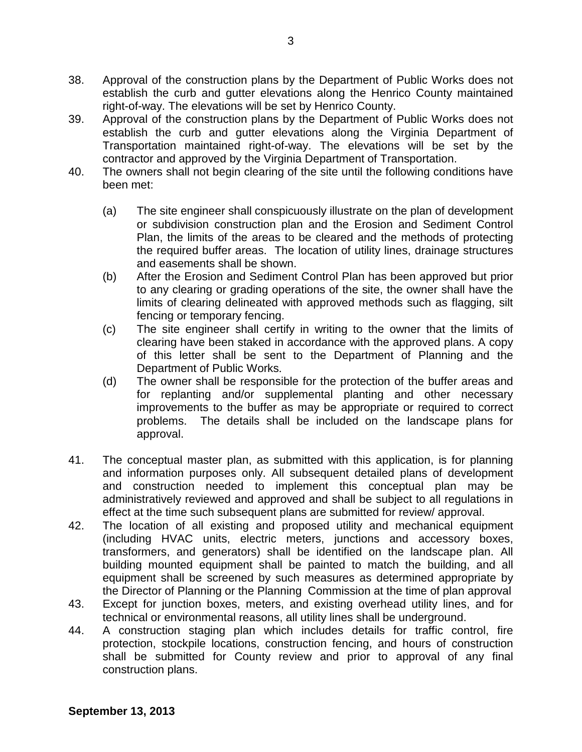- 38. Approval of the construction plans by the Department of Public Works does not establish the curb and gutter elevations along the Henrico County maintained right-of-way. The elevations will be set by Henrico County.
- 39. Approval of the construction plans by the Department of Public Works does not establish the curb and gutter elevations along the Virginia Department of Transportation maintained right-of-way. The elevations will be set by the contractor and approved by the Virginia Department of Transportation.
- 40. The owners shall not begin clearing of the site until the following conditions have been met:
	- (a) The site engineer shall conspicuously illustrate on the plan of development or subdivision construction plan and the Erosion and Sediment Control Plan, the limits of the areas to be cleared and the methods of protecting the required buffer areas. The location of utility lines, drainage structures and easements shall be shown.
	- (b) After the Erosion and Sediment Control Plan has been approved but prior to any clearing or grading operations of the site, the owner shall have the limits of clearing delineated with approved methods such as flagging, silt fencing or temporary fencing.
	- (c) The site engineer shall certify in writing to the owner that the limits of clearing have been staked in accordance with the approved plans. A copy of this letter shall be sent to the Department of Planning and the Department of Public Works.
	- (d) The owner shall be responsible for the protection of the buffer areas and for replanting and/or supplemental planting and other necessary improvements to the buffer as may be appropriate or required to correct problems. The details shall be included on the landscape plans for approval.
- 41. The conceptual master plan, as submitted with this application, is for planning and information purposes only. All subsequent detailed plans of development and construction needed to implement this conceptual plan may be administratively reviewed and approved and shall be subject to all regulations in effect at the time such subsequent plans are submitted for review/ approval.
- 42. The location of all existing and proposed utility and mechanical equipment (including HVAC units, electric meters, junctions and accessory boxes, transformers, and generators) shall be identified on the landscape plan. All building mounted equipment shall be painted to match the building, and all equipment shall be screened by such measures as determined appropriate by the Director of Planning or the Planning Commission at the time of plan approval
- 43. Except for junction boxes, meters, and existing overhead utility lines, and for technical or environmental reasons, all utility lines shall be underground.
- 44. A construction staging plan which includes details for traffic control, fire protection, stockpile locations, construction fencing, and hours of construction shall be submitted for County review and prior to approval of any final construction plans.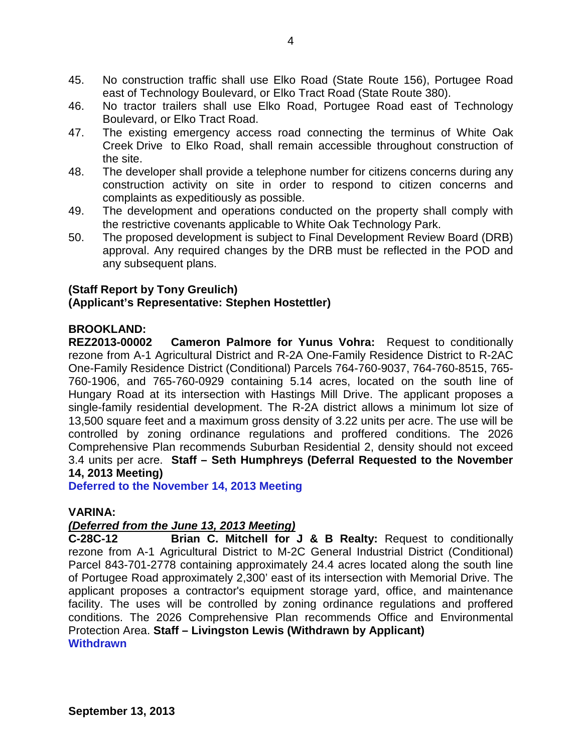- 45. No construction traffic shall use Elko Road (State Route 156), Portugee Road east of Technology Boulevard, or Elko Tract Road (State Route 380).
- 46. No tractor trailers shall use Elko Road, Portugee Road east of Technology Boulevard, or Elko Tract Road.
- 47. The existing emergency access road connecting the terminus of White Oak Creek Drive to Elko Road, shall remain accessible throughout construction of the site.
- 48. The developer shall provide a telephone number for citizens concerns during any construction activity on site in order to respond to citizen concerns and complaints as expeditiously as possible.
- 49. The development and operations conducted on the property shall comply with the restrictive covenants applicable to White Oak Technology Park.
- 50. The proposed development is subject to Final Development Review Board (DRB) approval. Any required changes by the DRB must be reflected in the POD and any subsequent plans.

## **(Staff Report by Tony Greulich)**

### **(Applicant's Representative: Stephen Hostettler)**

### **BROOKLAND:**

**REZ2013-00002 Cameron Palmore for Yunus Vohra:** Request to conditionally rezone from A-1 Agricultural District and R-2A One-Family Residence District to R-2AC One-Family Residence District (Conditional) Parcels 764-760-9037, 764-760-8515, 765- 760-1906, and 765-760-0929 containing 5.14 acres, located on the south line of Hungary Road at its intersection with Hastings Mill Drive. The applicant proposes a single-family residential development. The R-2A district allows a minimum lot size of 13,500 square feet and a maximum gross density of 3.22 units per acre. The use will be controlled by zoning ordinance regulations and proffered conditions. The 2026 Comprehensive Plan recommends Suburban Residential 2, density should not exceed 3.4 units per acre. **Staff – Seth Humphreys (Deferral Requested to the November 14, 2013 Meeting)**

**Deferred to the November 14, 2013 Meeting**

### **VARINA:**

### *(Deferred from the June 13, 2013 Meeting)*

**C-28C-12 Brian C. Mitchell for J & B Realty:** Request to conditionally rezone from A-1 Agricultural District to M-2C General Industrial District (Conditional) Parcel 843-701-2778 containing approximately 24.4 acres located along the south line of Portugee Road approximately 2,300' east of its intersection with Memorial Drive. The applicant proposes a contractor's equipment storage yard, office, and maintenance facility. The uses will be controlled by zoning ordinance regulations and proffered conditions. The 2026 Comprehensive Plan recommends Office and Environmental Protection Area. **Staff – Livingston Lewis (Withdrawn by Applicant) Withdrawn**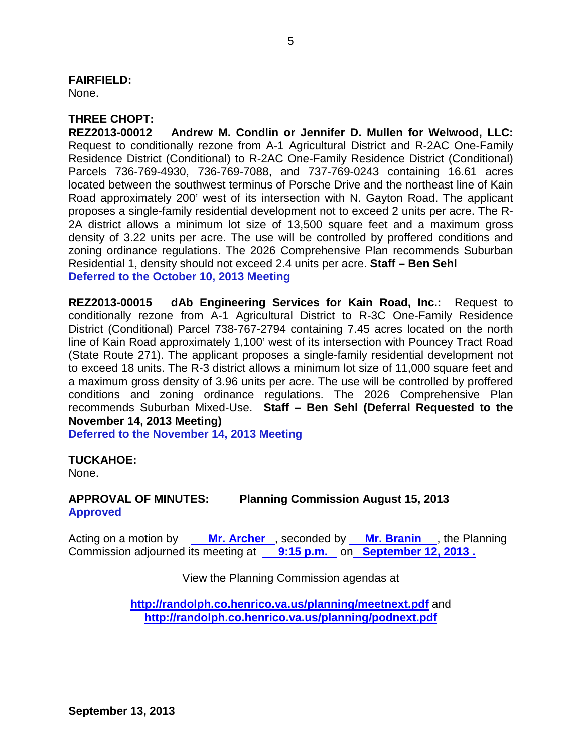#### **FAIRFIELD:**

None.

## **THREE CHOPT:**

**REZ2013-00012 Andrew M. Condlin or Jennifer D. Mullen for Welwood, LLC:** Request to conditionally rezone from A-1 Agricultural District and R-2AC One-Family Residence District (Conditional) to R-2AC One-Family Residence District (Conditional) Parcels 736-769-4930, 736-769-7088, and 737-769-0243 containing 16.61 acres located between the southwest terminus of Porsche Drive and the northeast line of Kain Road approximately 200' west of its intersection with N. Gayton Road. The applicant proposes a single-family residential development not to exceed 2 units per acre. The R-2A district allows a minimum lot size of 13,500 square feet and a maximum gross density of 3.22 units per acre. The use will be controlled by proffered conditions and zoning ordinance regulations. The 2026 Comprehensive Plan recommends Suburban Residential 1, density should not exceed 2.4 units per acre. **Staff – Ben Sehl Deferred to the October 10, 2013 Meeting**

**REZ2013-00015 dAb Engineering Services for Kain Road, Inc.:** Request to conditionally rezone from A-1 Agricultural District to R-3C One-Family Residence District (Conditional) Parcel 738-767-2794 containing 7.45 acres located on the north line of Kain Road approximately 1,100' west of its intersection with Pouncey Tract Road (State Route 271). The applicant proposes a single-family residential development not to exceed 18 units. The R-3 district allows a minimum lot size of 11,000 square feet and a maximum gross density of 3.96 units per acre. The use will be controlled by proffered conditions and zoning ordinance regulations. The 2026 Comprehensive Plan recommends Suburban Mixed-Use. **Staff – Ben Sehl (Deferral Requested to the November 14, 2013 Meeting)**

**Deferred to the November 14, 2013 Meeting**

### **TUCKAHOE:**

None.

### **APPROVAL OF MINUTES: Planning Commission August 15, 2013 Approved**

Acting on a motion by **Mr. Archer**, seconded by **Mr. Branin**, the Planning Commission adjourned its meeting at **9:15 p.m.** on **September 12, 2013 .** 

View the Planning Commission agendas at

**<http://randolph.co.henrico.va.us/planning/meetnext.pdf>** and **<http://randolph.co.henrico.va.us/planning/podnext.pdf>**